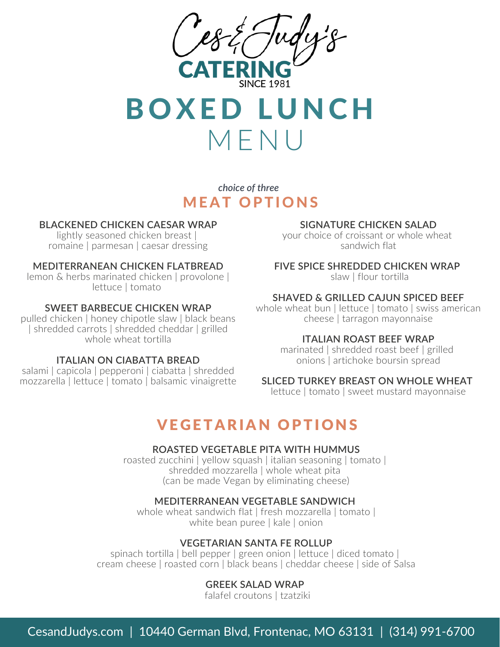



*choice of three* **MEAT OPTIONS** 

### **BLACKENED CHICKEN CAESAR WRAP**

lightly seasoned chicken breast | romaine | parmesan | caesar dressing

#### **MEDITERRANEAN CHICKEN FLATBREAD**

lemon & herbs marinated chicken | provolone | lettuce | tomato

#### **SWEET BARBECUE CHICKEN WRAP**

pulled chicken | honey chipotle slaw | black beans | shredded carrots | shredded cheddar | grilled whole wheat tortilla

## **ITALIAN ON CIABATTA BREAD**

salami | capicola | pepperoni | ciabatta | shredded mozzarella | lettuce | tomato | balsamic vinaigrette

#### **SIGNATURE CHICKEN SALAD**

your choice of croissant or whole wheat sandwich flat

#### **FIVE SPICE SHREDDED CHICKEN WRAP**

slaw | flour tortilla

#### **SHAVED & GRILLED CAJUN SPICED BEEF**

whole wheat bun | lettuce | tomato | swiss american cheese | tarragon mayonnaise

#### **ITALIAN ROAST BEEF WRAP**

marinated | shredded roast beef | grilled onions | artichoke boursin spread

# **SLICED TURKEY BREAST ON WHOLE WHEAT**

lettuce | tomato | sweet mustard mayonnaise

# **VEGETARIAN OPTIONS**

#### **ROASTED VEGETABLE PITA WITH HUMMUS**

roasted zucchini | yellow squash | italian seasoning | tomato | shredded mozzarella | whole wheat pita (can be made Vegan by eliminating cheese)

#### **MEDITERRANEAN VEGETABLE SANDWICH**

whole wheat sandwich flat | fresh mozzarella | tomato | white bean puree | kale | onion

## **VEGETARIAN SANTA FE ROLLUP**

spinach tortilla | bell pepper | green onion | lettuce | diced tomato | cream cheese | roasted corn | black beans | cheddar cheese | side of Salsa

## **GREEK SALAD WRAP**

falafel croutons | tzatziki

CesandJudys.com | 10440 German Blvd, Frontenac, MO 63131 | (314) 991-6700